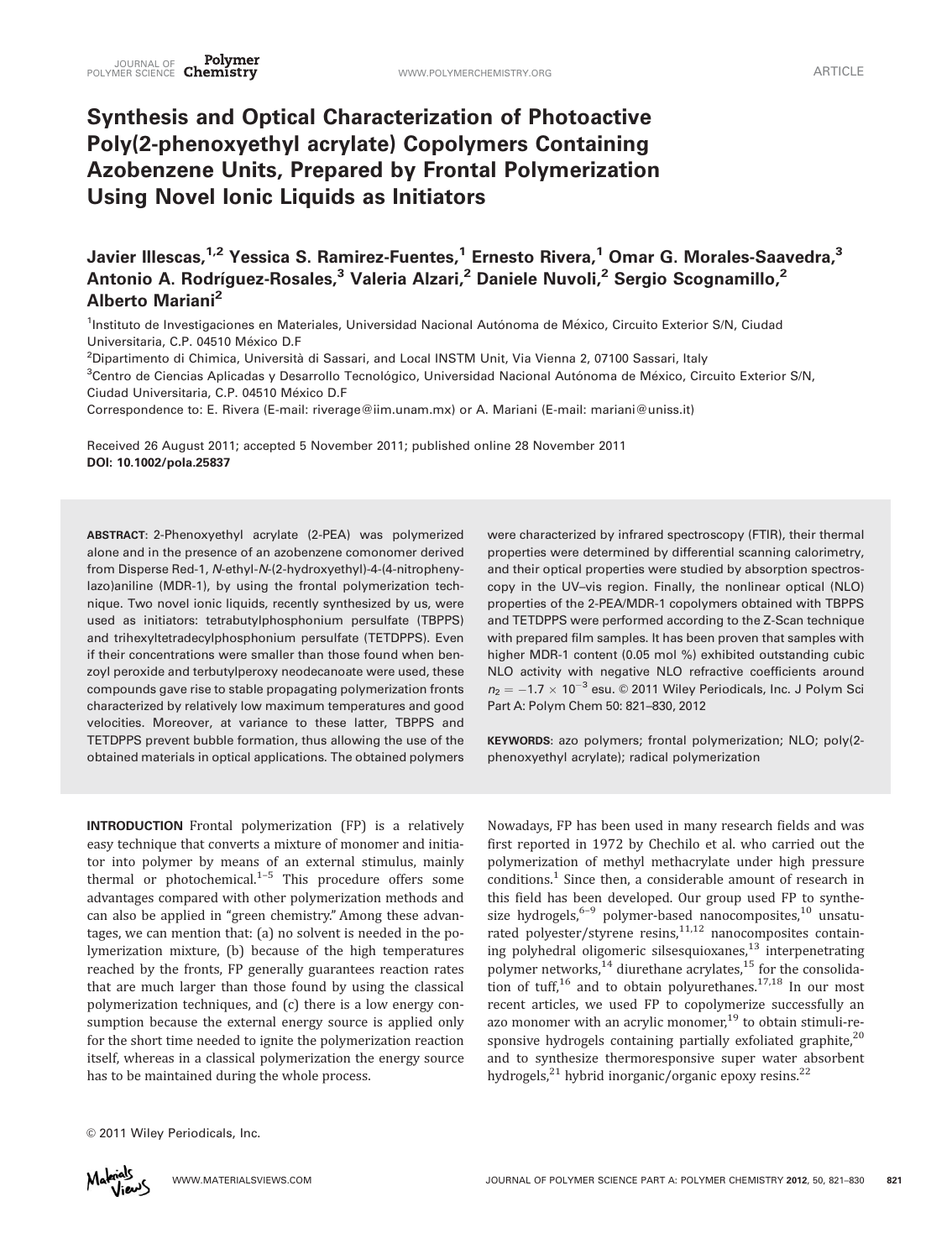# Synthesis and Optical Characterization of Photoactive Poly(2-phenoxyethyl acrylate) Copolymers Containing Azobenzene Units, Prepared by Frontal Polymerization Using Novel Ionic Liquids as Initiators

Javier Illescas,<sup>1,2</sup> Yessica S. Ramirez-Fuentes,<sup>1</sup> Ernesto Rivera,<sup>1</sup> Omar G. Morales-Saavedra,<sup>3</sup> Antonio A. Rodríguez-Rosales,<sup>3</sup> Valeria Alzari,<sup>2</sup> Daniele Nuvoli,<sup>2</sup> Sergio Scognamillo,<sup>2</sup> Alberto Mariani<sup>2</sup>

<sup>1</sup>Instituto de Investigaciones en Materiales, Universidad Nacional Autónoma de México, Circuito Exterior S/N, Ciudad Universitaria, C.P. 04510 México D.F

<sup>2</sup>Dipartimento di Chimica, Università di Sassari, and Local INSTM Unit, Via Vienna 2, 07100 Sassari, Italy

<sup>3</sup>Centro de Ciencias Aplicadas y Desarrollo Tecnológico, Universidad Nacional Autónoma de México, Circuito Exterior S/N, Ciudad Universitaria, C.P. 04510 México D.F

Correspondence to: E. Rivera (E-mail: riverage@iim.unam.mx) or A. Mariani (E-mail: mariani@uniss.it)

Received 26 August 2011; accepted 5 November 2011; published online 28 November 2011 DOI: 10.1002/pola.25837

ABSTRACT: 2-Phenoxyethyl acrylate (2-PEA) was polymerized alone and in the presence of an azobenzene comonomer derived from Disperse Red-1, N-ethyl-N-(2-hydroxyethyl)-4-(4-nitrophenylazo)aniline (MDR-1), by using the frontal polymerization technique. Two novel ionic liquids, recently synthesized by us, were used as initiators: tetrabutylphosphonium persulfate (TBPPS) and trihexyltetradecylphosphonium persulfate (TETDPPS). Even if their concentrations were smaller than those found when benzoyl peroxide and terbutylperoxy neodecanoate were used, these compounds gave rise to stable propagating polymerization fronts characterized by relatively low maximum temperatures and good velocities. Moreover, at variance to these latter, TBPPS and TETDPPS prevent bubble formation, thus allowing the use of the obtained materials in optical applications. The obtained polymers were characterized by infrared spectroscopy (FTIR), their thermal properties were determined by differential scanning calorimetry, and their optical properties were studied by absorption spectroscopy in the UV–vis region. Finally, the nonlinear optical (NLO) properties of the 2-PEA/MDR-1 copolymers obtained with TBPPS and TETDPPS were performed according to the Z-Scan technique with prepared film samples. It has been proven that samples with higher MDR-1 content (0.05 mol %) exhibited outstanding cubic NLO activity with negative NLO refractive coefficients around  $n_2 = -1.7 \times 10^{-3}$  esu. © 2011 Wiley Periodicals, Inc. J Polym Sci Part A: Polym Chem 50: 821–830, 2012

KEYWORDS: azo polymers; frontal polymerization; NLO; poly(2 phenoxyethyl acrylate); radical polymerization

INTRODUCTION Frontal polymerization (FP) is a relatively easy technique that converts a mixture of monomer and initiator into polymer by means of an external stimulus, mainly thermal or photochemical. $1-5$  This procedure offers some advantages compared with other polymerization methods and can also be applied in "green chemistry." Among these advantages, we can mention that: (a) no solvent is needed in the polymerization mixture, (b) because of the high temperatures reached by the fronts, FP generally guarantees reaction rates that are much larger than those found by using the classical polymerization techniques, and (c) there is a low energy consumption because the external energy source is applied only for the short time needed to ignite the polymerization reaction itself, whereas in a classical polymerization the energy source has to be maintained during the whole process.

Nowadays, FP has been used in many research fields and was first reported in 1972 by Chechilo et al. who carried out the polymerization of methyl methacrylate under high pressure conditions.<sup>1</sup> Since then, a considerable amount of research in this field has been developed. Our group used FP to synthesize hydrogels, $6-9$  polymer-based nanocomposites, $10$  unsaturated polyester/styrene resins,<sup>11,12</sup> nanocomposites containing polyhedral oligomeric silsesquioxanes, $^{13}$  interpenetrating polymer networks, $^{14}$  diurethane acrylates, $^{15}$  for the consolidation of tuff,<sup>16</sup> and to obtain polyurethanes.<sup>17,18</sup> In our most recent articles, we used FP to copolymerize successfully an azo monomer with an acrylic monomer,<sup>19</sup> to obtain stimuli-responsive hydrogels containing partially exfoliated graphite, $^{20}$ and to synthesize thermoresponsive super water absorbent hydrogels,<sup>21</sup> hybrid inorganic/organic epoxy resins.<sup>22</sup>

 $©$  2011 Wiley Periodicals, Inc.

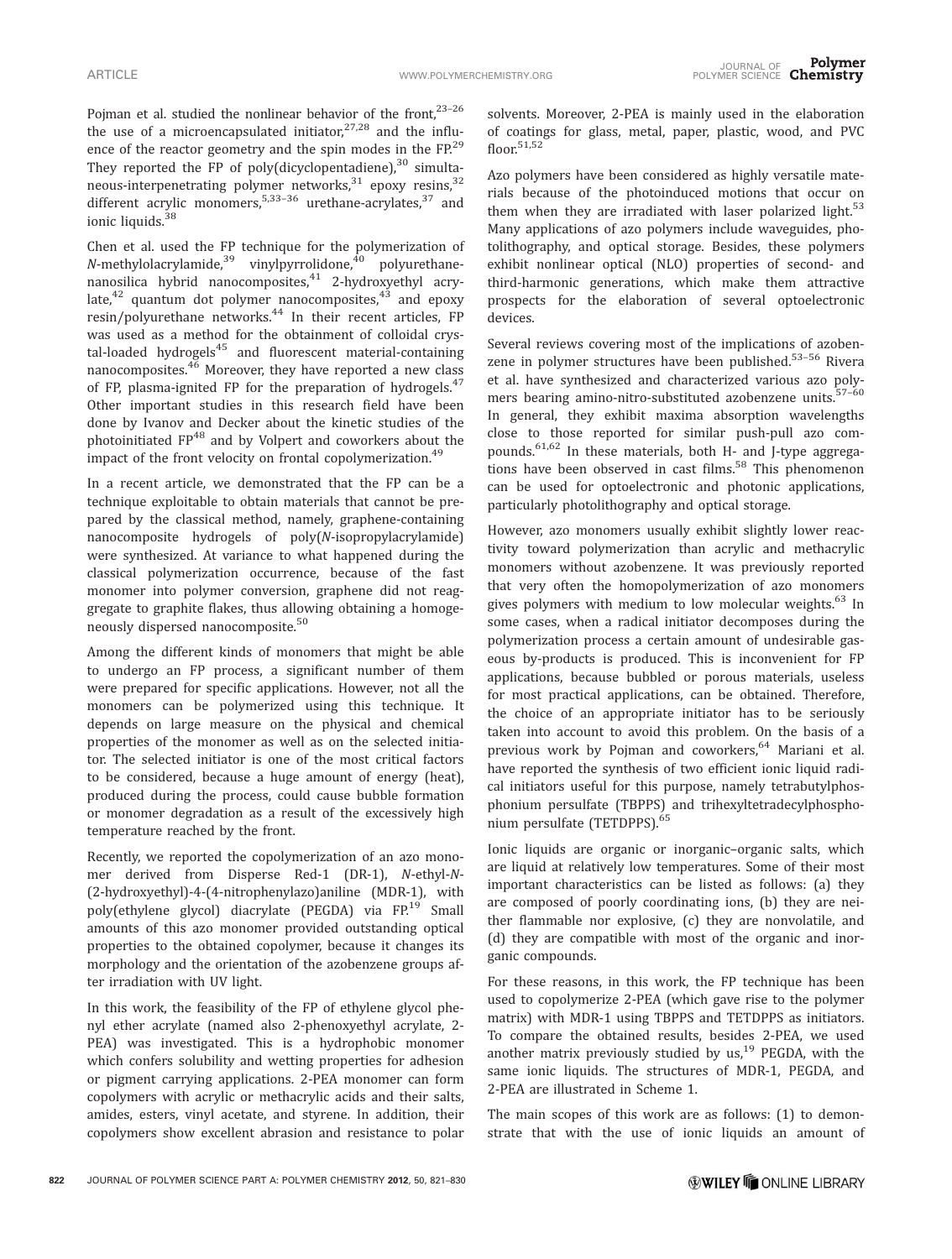Pojman et al. studied the nonlinear behavior of the front,<sup>23-26</sup> the use of a microencapsulated initiator, $27,28$  and the influence of the reactor geometry and the spin modes in the FP.<sup>29</sup> They reported the FP of poly(dicyclopentadiene), $30$  simultaneous-interpenetrating polymer networks,<sup>31</sup> epoxy resins,<sup>32</sup> different acrylic monomers,  $5,33-36$  urethane-acrylates,  $37$  and ionic liquids.<sup>38</sup>

Chen et al. used the FP technique for the polymerization of  $N$ -methylolacrylamide,<sup>39</sup> vinylpyrrolidone,<sup>40</sup> polyurethanenanosilica hybrid nanocomposites,<sup>41</sup> 2-hydroxyethyl acrylate, $42$  quantum dot polymer nanocomposites, $43$  and epoxy resin/polyurethane networks.<sup>44</sup> In their recent articles, FP was used as a method for the obtainment of colloidal crystal-loaded hydrogels<sup>45</sup> and fluorescent material-containing nanocomposites. $46$  Moreover, they have reported a new class of FP, plasma-ignited FP for the preparation of hydrogels.<sup>47</sup> Other important studies in this research field have been done by Ivanov and Decker about the kinetic studies of the photoinitiated FP48 and by Volpert and coworkers about the impact of the front velocity on frontal copolymerization.<sup>49</sup>

In a recent article, we demonstrated that the FP can be a technique exploitable to obtain materials that cannot be prepared by the classical method, namely, graphene-containing nanocomposite hydrogels of poly(N-isopropylacrylamide) were synthesized. At variance to what happened during the classical polymerization occurrence, because of the fast monomer into polymer conversion, graphene did not reaggregate to graphite flakes, thus allowing obtaining a homogeneously dispersed nanocomposite.<sup>50</sup>

Among the different kinds of monomers that might be able to undergo an FP process, a significant number of them were prepared for specific applications. However, not all the monomers can be polymerized using this technique. It depends on large measure on the physical and chemical properties of the monomer as well as on the selected initiator. The selected initiator is one of the most critical factors to be considered, because a huge amount of energy (heat), produced during the process, could cause bubble formation or monomer degradation as a result of the excessively high temperature reached by the front.

Recently, we reported the copolymerization of an azo monomer derived from Disperse Red-1 (DR-1), N-ethyl-N- (2-hydroxyethyl)-4-(4-nitrophenylazo)aniline (MDR-1), with poly(ethylene glycol) diacrylate (PEGDA) via FP.<sup>19</sup> Small amounts of this azo monomer provided outstanding optical properties to the obtained copolymer, because it changes its morphology and the orientation of the azobenzene groups after irradiation with UV light.

In this work, the feasibility of the FP of ethylene glycol phenyl ether acrylate (named also 2-phenoxyethyl acrylate, 2- PEA) was investigated. This is a hydrophobic monomer which confers solubility and wetting properties for adhesion or pigment carrying applications. 2-PEA monomer can form copolymers with acrylic or methacrylic acids and their salts, amides, esters, vinyl acetate, and styrene. In addition, their copolymers show excellent abrasion and resistance to polar

solvents. Moreover, 2-PEA is mainly used in the elaboration of coatings for glass, metal, paper, plastic, wood, and PVC  $floor<sup>51,52</sup>$ 

Azo polymers have been considered as highly versatile materials because of the photoinduced motions that occur on them when they are irradiated with laser polarized light.<sup>53</sup> Many applications of azo polymers include waveguides, photolithography, and optical storage. Besides, these polymers exhibit nonlinear optical (NLO) properties of second- and third-harmonic generations, which make them attractive prospects for the elaboration of several optoelectronic devices.

Several reviews covering most of the implications of azobenzene in polymer structures have been published. $53-56$  Rivera et al. have synthesized and characterized various azo polymers bearing amino-nitro-substituted azobenzene units.<sup>57-60</sup> In general, they exhibit maxima absorption wavelengths close to those reported for similar push-pull azo compounds.<sup>61,62</sup> In these materials, both H- and J-type aggregations have been observed in cast films.<sup>58</sup> This phenomenon can be used for optoelectronic and photonic applications, particularly photolithography and optical storage.

However, azo monomers usually exhibit slightly lower reactivity toward polymerization than acrylic and methacrylic monomers without azobenzene. It was previously reported that very often the homopolymerization of azo monomers gives polymers with medium to low molecular weights.<sup>63</sup> In some cases, when a radical initiator decomposes during the polymerization process a certain amount of undesirable gaseous by-products is produced. This is inconvenient for FP applications, because bubbled or porous materials, useless for most practical applications, can be obtained. Therefore, the choice of an appropriate initiator has to be seriously taken into account to avoid this problem. On the basis of a previous work by Pojman and coworkers,<sup>64</sup> Mariani et al. have reported the synthesis of two efficient ionic liquid radical initiators useful for this purpose, namely tetrabutylphosphonium persulfate (TBPPS) and trihexyltetradecylphosphonium persulfate (TETDPPS).<sup>65</sup>

Ionic liquids are organic or inorganic–organic salts, which are liquid at relatively low temperatures. Some of their most important characteristics can be listed as follows: (a) they are composed of poorly coordinating ions, (b) they are neither flammable nor explosive, (c) they are nonvolatile, and (d) they are compatible with most of the organic and inorganic compounds.

For these reasons, in this work, the FP technique has been used to copolymerize 2-PEA (which gave rise to the polymer matrix) with MDR-1 using TBPPS and TETDPPS as initiators. To compare the obtained results, besides 2-PEA, we used another matrix previously studied by us, $19$  PEGDA, with the same ionic liquids. The structures of MDR-1, PEGDA, and 2-PEA are illustrated in Scheme 1.

The main scopes of this work are as follows: (1) to demonstrate that with the use of ionic liquids an amount of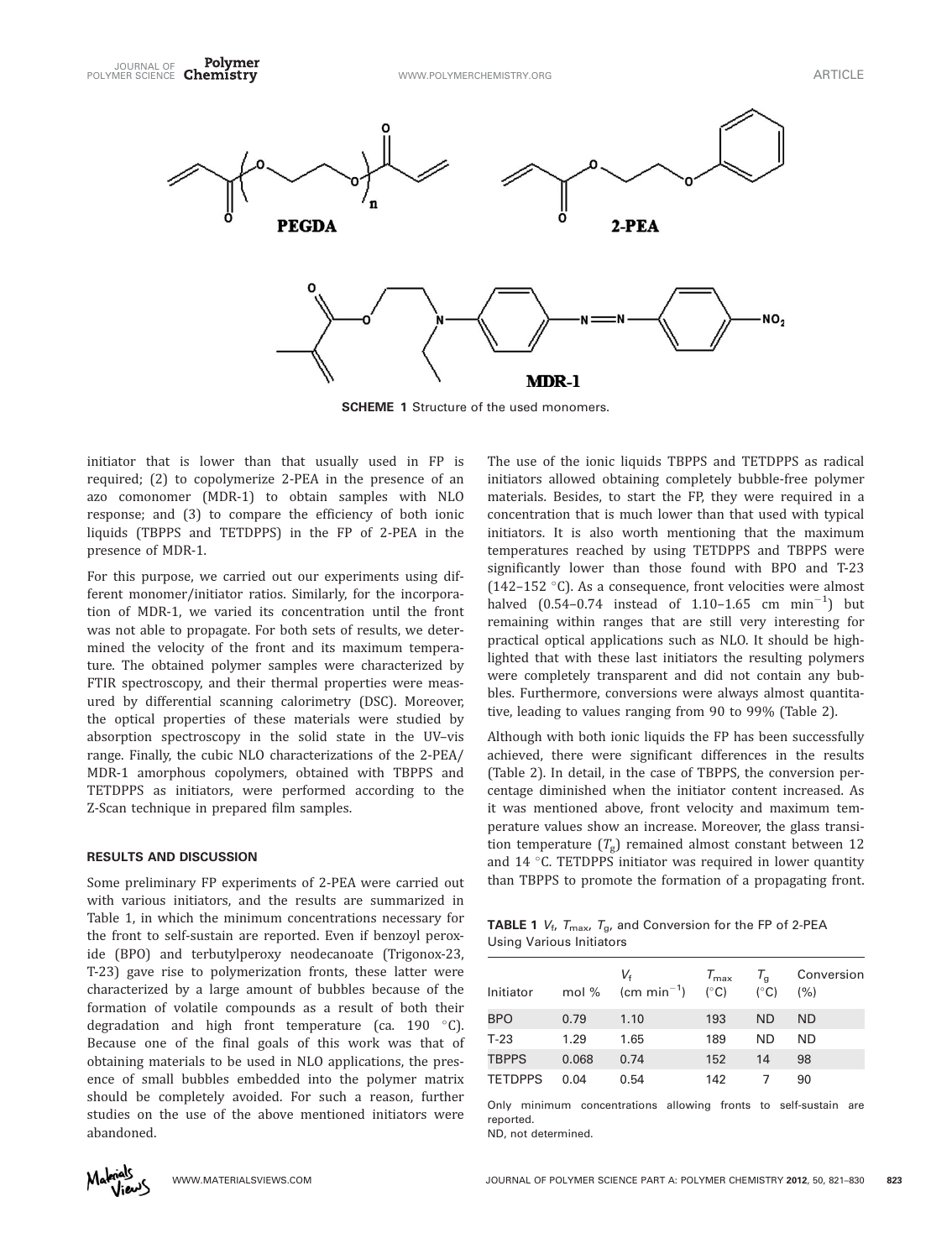

**SCHEME 1** Structure of the used monomers.

initiator that is lower than that usually used in FP is required; (2) to copolymerize 2-PEA in the presence of an azo comonomer (MDR-1) to obtain samples with NLO response; and (3) to compare the efficiency of both ionic liquids (TBPPS and TETDPPS) in the FP of 2-PEA in the presence of MDR-1.

For this purpose, we carried out our experiments using different monomer/initiator ratios. Similarly, for the incorporation of MDR-1, we varied its concentration until the front was not able to propagate. For both sets of results, we determined the velocity of the front and its maximum temperature. The obtained polymer samples were characterized by FTIR spectroscopy, and their thermal properties were measured by differential scanning calorimetry (DSC). Moreover, the optical properties of these materials were studied by absorption spectroscopy in the solid state in the UV–vis range. Finally, the cubic NLO characterizations of the 2-PEA/ MDR-1 amorphous copolymers, obtained with TBPPS and TETDPPS as initiators, were performed according to the Z-Scan technique in prepared film samples.

# RESULTS AND DISCUSSION

Some preliminary FP experiments of 2-PEA were carried out with various initiators, and the results are summarized in Table 1, in which the minimum concentrations necessary for the front to self-sustain are reported. Even if benzoyl peroxide (BPO) and terbutylperoxy neodecanoate (Trigonox-23, T-23) gave rise to polymerization fronts, these latter were characterized by a large amount of bubbles because of the formation of volatile compounds as a result of both their degradation and high front temperature (ca. 190  $^{\circ}$ C). Because one of the final goals of this work was that of obtaining materials to be used in NLO applications, the presence of small bubbles embedded into the polymer matrix should be completely avoided. For such a reason, further studies on the use of the above mentioned initiators were abandoned.

The use of the ionic liquids TBPPS and TETDPPS as radical initiators allowed obtaining completely bubble-free polymer materials. Besides, to start the FP, they were required in a concentration that is much lower than that used with typical initiators. It is also worth mentioning that the maximum temperatures reached by using TETDPPS and TBPPS were significantly lower than those found with BPO and T-23 (142–152 °C). As a consequence, front velocities were almost halved (0.54–0.74 instead of 1.10–1.65 cm  $min^{-1}$ ) but remaining within ranges that are still very interesting for practical optical applications such as NLO. It should be highlighted that with these last initiators the resulting polymers were completely transparent and did not contain any bubbles. Furthermore, conversions were always almost quantitative, leading to values ranging from 90 to 99% (Table 2).

Although with both ionic liquids the FP has been successfully achieved, there were significant differences in the results (Table 2). In detail, in the case of TBPPS, the conversion percentage diminished when the initiator content increased. As it was mentioned above, front velocity and maximum temperature values show an increase. Moreover, the glass transition temperature  $(T_{g})$  remained almost constant between 12 and  $14$  °C. TETDPPS initiator was required in lower quantity than TBPPS to promote the formation of a propagating front.

**TABLE 1**  $V_f$ ,  $T_{\text{max}}$ ,  $T_g$ , and Conversion for the FP of 2-PEA Using Various Initiators

| Initiator      | mol % | Vғ<br>(cm min <sup>-1</sup> ) ( $\degree$ C) | $T_{\text{max}}$ | $T_{\rm g}$<br>$(^{\circ}C)$ | Conversion<br>(% ) |
|----------------|-------|----------------------------------------------|------------------|------------------------------|--------------------|
| <b>BPO</b>     | 0.79  | 1.10                                         | 193              | <b>ND</b>                    | ND                 |
| $T-23$         | 1.29  | 1.65                                         | 189              | ND.                          | ND.                |
| <b>TBPPS</b>   | 0.068 | 0.74                                         | 152              | 14                           | 98                 |
| <b>TETDPPS</b> | 0.04  | 0.54                                         | 142              |                              | 90                 |

Only minimum concentrations allowing fronts to self-sustain are reported.

ND, not determined.

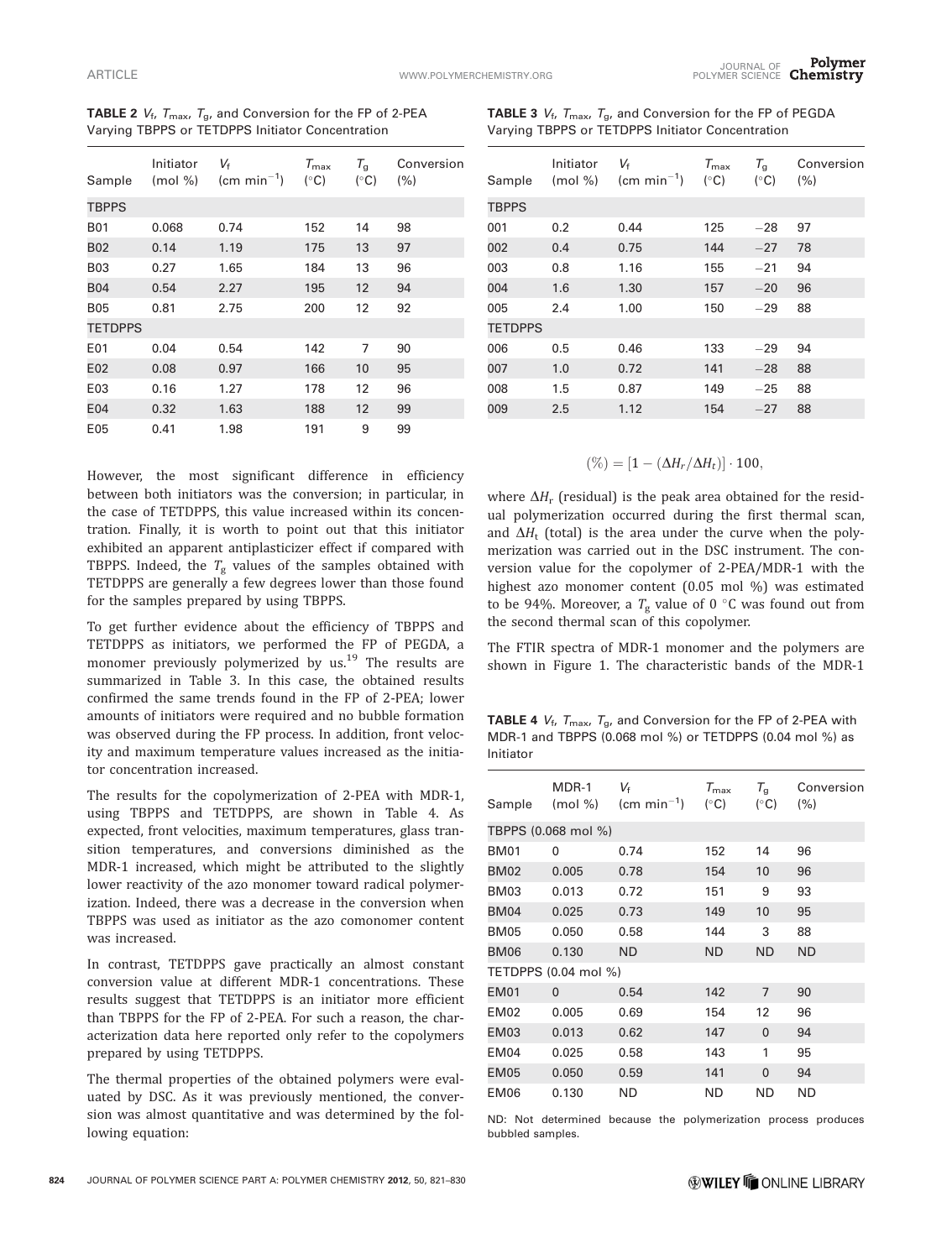| Sample         | Initiator<br>$(mod \% )$ | $V_{\rm f}$<br>$\text{(cm min}^{-1})$ | $T_{\sf max}$<br>$(^{\circ}C)$ | $T_{\rm g}$<br>$(^{\circ}C)$ | Conversion<br>(% ) |
|----------------|--------------------------|---------------------------------------|--------------------------------|------------------------------|--------------------|
| <b>TBPPS</b>   |                          |                                       |                                |                              |                    |
| <b>B01</b>     | 0.068                    | 0.74                                  | 152                            | 14                           | 98                 |
| <b>B02</b>     | 0.14                     | 1.19                                  | 175                            | 13                           | 97                 |
| <b>B03</b>     | 0.27                     | 1.65                                  | 184                            | 13                           | 96                 |
| <b>B04</b>     | 0.54                     | 2.27                                  | 195                            | 12                           | 94                 |
| <b>B05</b>     | 0.81                     | 2.75                                  | 200                            | 12                           | 92                 |
| <b>TETDPPS</b> |                          |                                       |                                |                              |                    |
| E01            | 0.04                     | 0.54                                  | 142                            | 7                            | 90                 |
| E02            | 0.08                     | 0.97                                  | 166                            | 10                           | 95                 |
| E03            | 0.16                     | 1.27                                  | 178                            | 12                           | 96                 |
| E04            | 0.32                     | 1.63                                  | 188                            | 12                           | 99                 |
| E05            | 0.41                     | 1.98                                  | 191                            | 9                            | 99                 |

**TABLE 2**  $V_f$ ,  $T_{\text{max}}$ ,  $T_g$ , and Conversion for the FP of 2-PEA Varying TBPPS or TETDPPS Initiator Concentration

**TABLE 3**  $V_f$ ,  $T_{\text{max}}$ ,  $T_g$ , and Conversion for the FP of PEGDA Varying TBPPS or TETDPPS Initiator Concentration

| Sample         | Initiator<br>$(mod \%)$ | V <sub>f</sub><br>$\text{(cm min}^{-1})$ | $T_{\rm max}$<br>$(^{\circ}C)$ | $T_{\rm g}$<br>$(^{\circ}C)$ | Conversion<br>(% ) |
|----------------|-------------------------|------------------------------------------|--------------------------------|------------------------------|--------------------|
| TBPPS          |                         |                                          |                                |                              |                    |
| 001            | 0.2                     | 0.44                                     | 125                            | $-28$                        | 97                 |
| 002            | 0.4                     | 0.75                                     | 144                            | $-27$                        | 78                 |
| 003            | 0.8                     | 1.16                                     | 155                            | $-21$                        | 94                 |
| 004            | 1.6                     | 1.30                                     | 157                            | $-20$                        | 96                 |
| 005            | 2.4                     | 1.00                                     | 150                            | $-29$                        | 88                 |
| <b>TETDPPS</b> |                         |                                          |                                |                              |                    |
| 006            | 0.5                     | 0.46                                     | 133                            | $-29$                        | 94                 |
| 007            | 1.0                     | 0.72                                     | 141                            | $-28$                        | 88                 |
| 008            | 1.5                     | 0.87                                     | 149                            | $-25$                        | 88                 |
| 009            | 2.5                     | 1.12                                     | 154                            | $-27$                        | 88                 |
|                |                         |                                          |                                |                              |                    |

 $(\%) = [1 - (\Delta H_r / \Delta H_t)] \cdot 100,$ 

However, the most significant difference in efficiency between both initiators was the conversion; in particular, in the case of TETDPPS, this value increased within its concentration. Finally, it is worth to point out that this initiator exhibited an apparent antiplasticizer effect if compared with TBPPS. Indeed, the  $T_g$  values of the samples obtained with TETDPPS are generally a few degrees lower than those found for the samples prepared by using TBPPS.

To get further evidence about the efficiency of TBPPS and TETDPPS as initiators, we performed the FP of PEGDA, a monomer previously polymerized by us.<sup>19</sup> The results are summarized in Table 3. In this case, the obtained results confirmed the same trends found in the FP of 2-PEA; lower amounts of initiators were required and no bubble formation was observed during the FP process. In addition, front velocity and maximum temperature values increased as the initiator concentration increased.

The results for the copolymerization of 2-PEA with MDR-1, using TBPPS and TETDPPS, are shown in Table 4. As expected, front velocities, maximum temperatures, glass transition temperatures, and conversions diminished as the MDR-1 increased, which might be attributed to the slightly lower reactivity of the azo monomer toward radical polymerization. Indeed, there was a decrease in the conversion when TBPPS was used as initiator as the azo comonomer content was increased.

In contrast, TETDPPS gave practically an almost constant conversion value at different MDR-1 concentrations. These results suggest that TETDPPS is an initiator more efficient than TBPPS for the FP of 2-PEA. For such a reason, the characterization data here reported only refer to the copolymers prepared by using TETDPPS.

The thermal properties of the obtained polymers were evaluated by DSC. As it was previously mentioned, the conversion was almost quantitative and was determined by the following equation:

where  $\Delta H_r$  (residual) is the peak area obtained for the residual polymerization occurred during the first thermal scan, and  $\Delta H_t$  (total) is the area under the curve when the polymerization was carried out in the DSC instrument. The conversion value for the copolymer of 2-PEA/MDR-1 with the highest azo monomer content (0.05 mol %) was estimated to be 94%. Moreover, a  $T_g$  value of 0 °C was found out from the second thermal scan of this copolymer.

The FTIR spectra of MDR-1 monomer and the polymers are shown in Figure 1. The characteristic bands of the MDR-1

**TABLE 4**  $V_f$ ,  $T_{\text{max}}$ ,  $T_g$ , and Conversion for the FP of 2-PEA with MDR-1 and TBPPS (0.068 mol %) or TETDPPS (0.04 mol %) as Initiator

|                      | MDR-1 | V <sub>f</sub><br>Sample $(mod \%)$ $(cm min^{-1})$ | $T_{\rm max}$<br>$(^{\circ}C)$ | $T_{\rm g}$<br>$(^{\circ}C)$ | Conversion<br>(% ) |  |  |  |
|----------------------|-------|-----------------------------------------------------|--------------------------------|------------------------------|--------------------|--|--|--|
| TBPPS (0.068 mol %)  |       |                                                     |                                |                              |                    |  |  |  |
| <b>BM01</b>          | 0     | 0.74                                                | 152                            | 14                           | 96                 |  |  |  |
| <b>BM02</b>          | 0.005 | 0.78                                                | 154                            | 10                           | 96                 |  |  |  |
| <b>BM03</b>          | 0.013 | 0.72                                                | 151                            | 9                            | 93                 |  |  |  |
| <b>BM04</b>          | 0.025 | 0.73                                                | 149                            | 10                           | 95                 |  |  |  |
| <b>BM05</b>          | 0.050 | 0.58                                                | 144                            | 3                            | 88                 |  |  |  |
| <b>BM06</b>          | 0.130 | <b>ND</b>                                           | <b>ND</b>                      | <b>ND</b>                    | <b>ND</b>          |  |  |  |
| TETDPPS (0.04 mol %) |       |                                                     |                                |                              |                    |  |  |  |
| <b>EM01</b>          | 0     | 0.54                                                | 142                            | 7                            | 90                 |  |  |  |
| <b>EM02</b>          | 0.005 | 0.69                                                | 154                            | 12                           | 96                 |  |  |  |
| <b>EM03</b>          | 0.013 | 0.62                                                | 147                            | $\Omega$                     | 94                 |  |  |  |
| EM <sub>04</sub>     | 0.025 | 0.58                                                | 143                            | 1                            | 95                 |  |  |  |
| <b>EM05</b>          | 0.050 | 0.59                                                | 141                            | $\Omega$                     | 94                 |  |  |  |
| <b>EM06</b>          | 0.130 | <b>ND</b>                                           | ND                             | <b>ND</b>                    | <b>ND</b>          |  |  |  |

ND: Not determined because the polymerization process produces bubbled samples.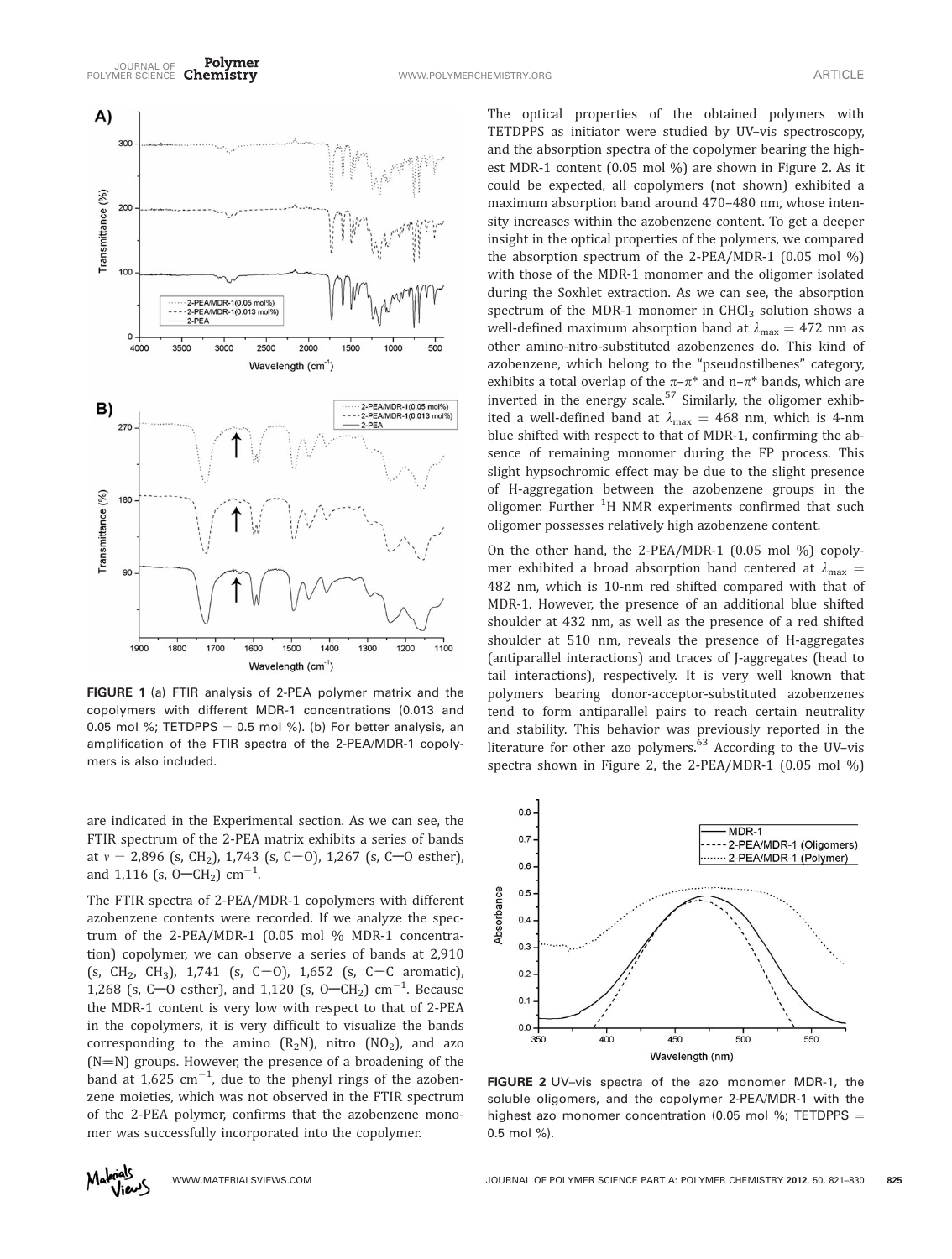

FIGURE 1 (a) FTIR analysis of 2-PEA polymer matrix and the copolymers with different MDR-1 concentrations (0.013 and 0.05 mol %; TETDPPS = 0.5 mol %). (b) For better analysis, an amplification of the FTIR spectra of the 2-PEA/MDR-1 copolymers is also included.

are indicated in the Experimental section. As we can see, the FTIR spectrum of the 2-PEA matrix exhibits a series of bands at  $v = 2,896$  (s, CH<sub>2</sub>), 1,743 (s, C=0), 1,267 (s, C-0 esther), and 1,116 (s,  $0-CH_2$ ) cm<sup>-1</sup>. .

The FTIR spectra of 2-PEA/MDR-1 copolymers with different azobenzene contents were recorded. If we analyze the spectrum of the 2-PEA/MDR-1 (0.05 mol % MDR-1 concentration) copolymer, we can observe a series of bands at 2,910 (s, CH<sub>2</sub>, CH<sub>3</sub>), 1,741 (s, C=0), 1,652 (s, C=C aromatic), 1,268 (s, C-O esther), and 1,120 (s, O-CH<sub>2</sub>) cm<sup>-1</sup>. Because the MDR-1 content is very low with respect to that of 2-PEA in the copolymers, it is very difficult to visualize the bands corresponding to the amino  $(R_2N)$ , nitro  $NO_2$ ), and azo  $(N=N)$  groups. However, the presence of a broadening of the band at  $1,625$   $\text{cm}^{-1}$ , due to the phenyl rings of the azobenzene moieties, which was not observed in the FTIR spectrum of the 2-PEA polymer, confirms that the azobenzene monomer was successfully incorporated into the copolymer.

The optical properties of the obtained polymers with TETDPPS as initiator were studied by UV–vis spectroscopy, and the absorption spectra of the copolymer bearing the highest MDR-1 content (0.05 mol %) are shown in Figure 2. As it could be expected, all copolymers (not shown) exhibited a maximum absorption band around 470–480 nm, whose intensity increases within the azobenzene content. To get a deeper insight in the optical properties of the polymers, we compared the absorption spectrum of the 2-PEA/MDR-1 (0.05 mol %) with those of the MDR-1 monomer and the oligomer isolated during the Soxhlet extraction. As we can see, the absorption spectrum of the MDR-1 monomer in  $CHCl<sub>3</sub>$  solution shows a well-defined maximum absorption band at  $\lambda_{\text{max}} = 472$  nm as other amino-nitro-substituted azobenzenes do. This kind of azobenzene, which belong to the ''pseudostilbenes'' category, exhibits a total overlap of the  $\pi$ – $\pi$ <sup>\*</sup> and n– $\pi$ <sup>\*</sup> bands, which are inverted in the energy scale. $57$  Similarly, the oligomer exhibited a well-defined band at  $\lambda_{\text{max}} = 468$  nm, which is 4-nm blue shifted with respect to that of MDR-1, confirming the absence of remaining monomer during the FP process. This slight hypsochromic effect may be due to the slight presence of H-aggregation between the azobenzene groups in the oligomer. Further <sup>1</sup>H NMR experiments confirmed that such oligomer possesses relatively high azobenzene content.

On the other hand, the 2-PEA/MDR-1 (0.05 mol %) copolymer exhibited a broad absorption band centered at  $\lambda_{\text{max}} =$ 482 nm, which is 10-nm red shifted compared with that of MDR-1. However, the presence of an additional blue shifted shoulder at 432 nm, as well as the presence of a red shifted shoulder at 510 nm, reveals the presence of H-aggregates (antiparallel interactions) and traces of J-aggregates (head to tail interactions), respectively. It is very well known that polymers bearing donor-acceptor-substituted azobenzenes tend to form antiparallel pairs to reach certain neutrality and stability. This behavior was previously reported in the literature for other azo polymers. $63$  According to the UV-vis spectra shown in Figure 2, the 2-PEA/MDR-1 (0.05 mol %)



FIGURE 2 UV-vis spectra of the azo monomer MDR-1, the soluble oligomers, and the copolymer 2-PEA/MDR-1 with the highest azo monomer concentration (0.05 mol %; TETDPPS = 0.5 mol %).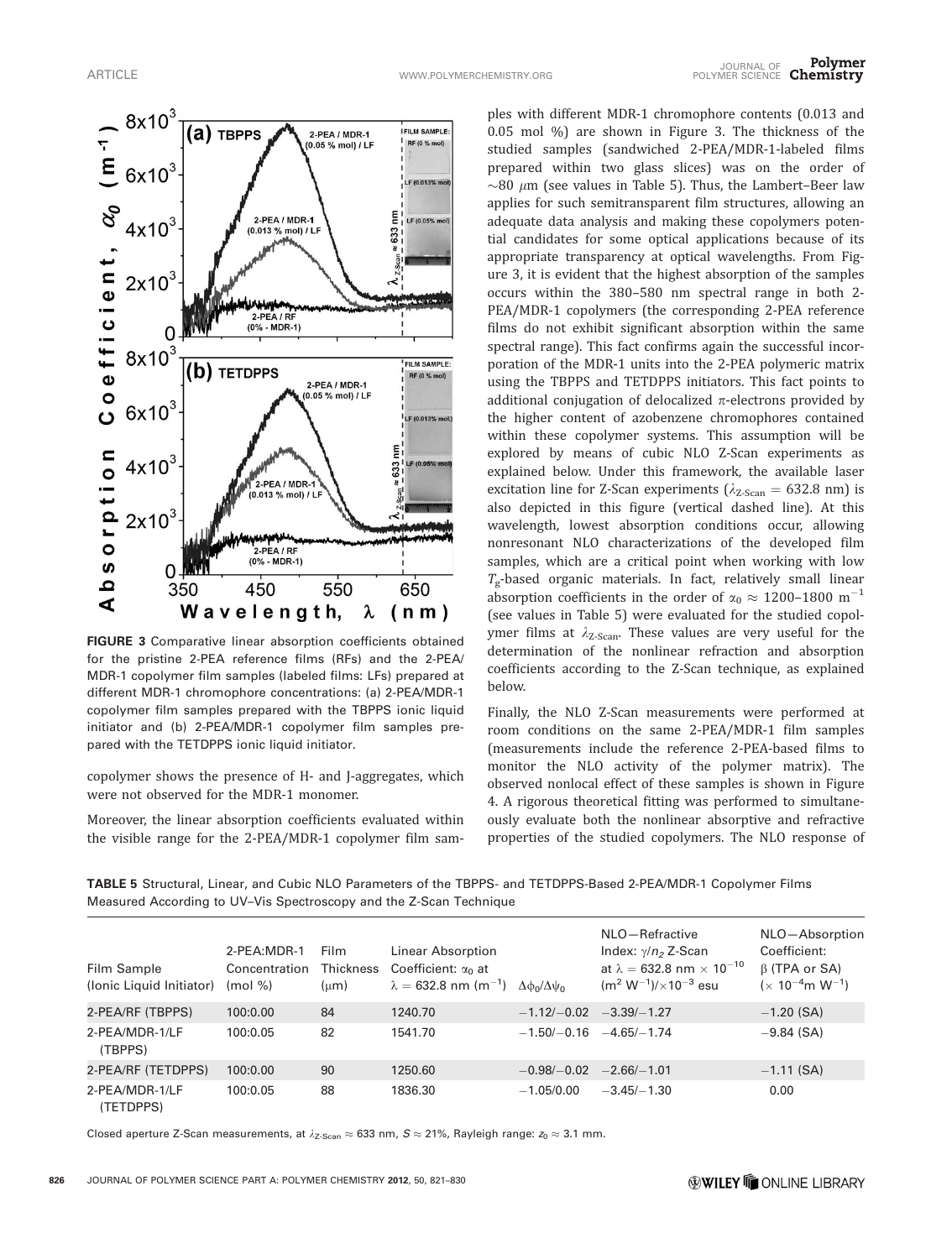

FIGURE 3 Comparative linear absorption coefficients obtained for the pristine 2-PEA reference films (RFs) and the 2-PEA/ MDR-1 copolymer film samples (labeled films: LFs) prepared at different MDR-1 chromophore concentrations: (a) 2-PEA/MDR-1 copolymer film samples prepared with the TBPPS ionic liquid initiator and (b) 2-PEA/MDR-1 copolymer film samples prepared with the TETDPPS ionic liquid initiator.

copolymer shows the presence of H- and J-aggregates, which were not observed for the MDR-1 monomer.

Moreover, the linear absorption coefficients evaluated within the visible range for the 2-PEA/MDR-1 copolymer film sam-

ples with different MDR-1 chromophore contents (0.013 and 0.05 mol %) are shown in Figure 3. The thickness of the studied samples (sandwiched 2-PEA/MDR-1-labeled films prepared within two glass slices) was on the order of  $\sim$ 80  $\mu$ m (see values in Table 5). Thus, the Lambert–Beer law applies for such semitransparent film structures, allowing an adequate data analysis and making these copolymers potential candidates for some optical applications because of its appropriate transparency at optical wavelengths. From Figure 3, it is evident that the highest absorption of the samples occurs within the 380–580 nm spectral range in both 2- PEA/MDR-1 copolymers (the corresponding 2-PEA reference films do not exhibit significant absorption within the same spectral range). This fact confirms again the successful incorporation of the MDR-1 units into the 2-PEA polymeric matrix using the TBPPS and TETDPPS initiators. This fact points to additional conjugation of delocalized  $\pi$ -electrons provided by the higher content of azobenzene chromophores contained within these copolymer systems. This assumption will be explored by means of cubic NLO Z-Scan experiments as explained below. Under this framework, the available laser excitation line for Z-Scan experiments ( $\lambda_{Z-Scan} = 632.8$  nm) is also depicted in this figure (vertical dashed line). At this wavelength, lowest absorption conditions occur, allowing nonresonant NLO characterizations of the developed film samples, which are a critical point when working with low  $T_g$ -based organic materials. In fact, relatively small linear absorption coefficients in the order of  $\alpha_0 \approx 1200$ –1800 m<sup>-1</sup> (see values in Table 5) were evaluated for the studied copolymer films at  $\lambda_{Z\text{-Scan}}$ . These values are very useful for the determination of the nonlinear refraction and absorption coefficients according to the Z-Scan technique, as explained below.

Finally, the NLO Z-Scan measurements were performed at room conditions on the same 2-PEA/MDR-1 film samples (measurements include the reference 2-PEA-based films to monitor the NLO activity of the polymer matrix). The observed nonlocal effect of these samples is shown in Figure 4. A rigorous theoretical fitting was performed to simultaneously evaluate both the nonlinear absorptive and refractive properties of the studied copolymers. The NLO response of

TABLE 5 Structural, Linear, and Cubic NLO Parameters of the TBPPS- and TETDPPS-Based 2-PEA/MDR-1 Copolymer Films Measured According to UV–Vis Spectroscopy and the Z-Scan Technique

| Film Sample<br>(Ionic Liquid Initiator) | 2-PEA:MDR-1<br>Concentration<br>$(mod \% )$ | <b>Film</b><br><b>Thickness</b><br>$(\mu m)$ | Linear Absorption<br>Coefficient: $\alpha_0$ at<br>$\lambda = 632.8$ nm (m <sup>-1</sup> ) | $\Delta\phi_0/\Delta\psi_0$ | NLO-Refractive<br>Index: $\gamma/n_2$ Z-Scan<br>at $\lambda = 632.8$ nm $\times 10^{-10}$<br>$(m^2 W^{-1}) / \times 10^{-3}$ esu | NLO-Absorption<br>Coefficient:<br>$\beta$ (TPA or SA)<br>$(x 10^{-4}$ m W <sup>-1</sup> ) |
|-----------------------------------------|---------------------------------------------|----------------------------------------------|--------------------------------------------------------------------------------------------|-----------------------------|----------------------------------------------------------------------------------------------------------------------------------|-------------------------------------------------------------------------------------------|
| 2-PEA/RF (TBPPS)                        | 100:0.00                                    | 84                                           | 1240.70                                                                                    | $-1.12/-0.02$ $-3.39/-1.27$ |                                                                                                                                  | $-1.20$ (SA)                                                                              |
| 2-PEA/MDR-1/LF<br>(TBPPS)               | 100:0.05                                    | 82                                           | 1541.70                                                                                    |                             | $-1.50/-0.16$ $-4.65/-1.74$                                                                                                      | $-9.84$ (SA)                                                                              |
| 2-PEA/RF (TETDPPS)                      | 100:0.00                                    | 90                                           | 1250.60                                                                                    | $-0.98/-0.02$               | $-2.66/-1.01$                                                                                                                    | $-1.11$ (SA)                                                                              |
| 2-PEA/MDR-1/LF<br>(TETDPPS)             | 100:0.05                                    | 88                                           | 1836.30                                                                                    | $-1.05/0.00$                | $-3.45/-1.30$                                                                                                                    | 0.00                                                                                      |

Closed aperture Z-Scan measurements, at  $\lambda_{Z\text{-Scan}} \approx 633$  nm,  $S \approx 21\%$ , Rayleigh range:  $z_0 \approx 3.1$  mm.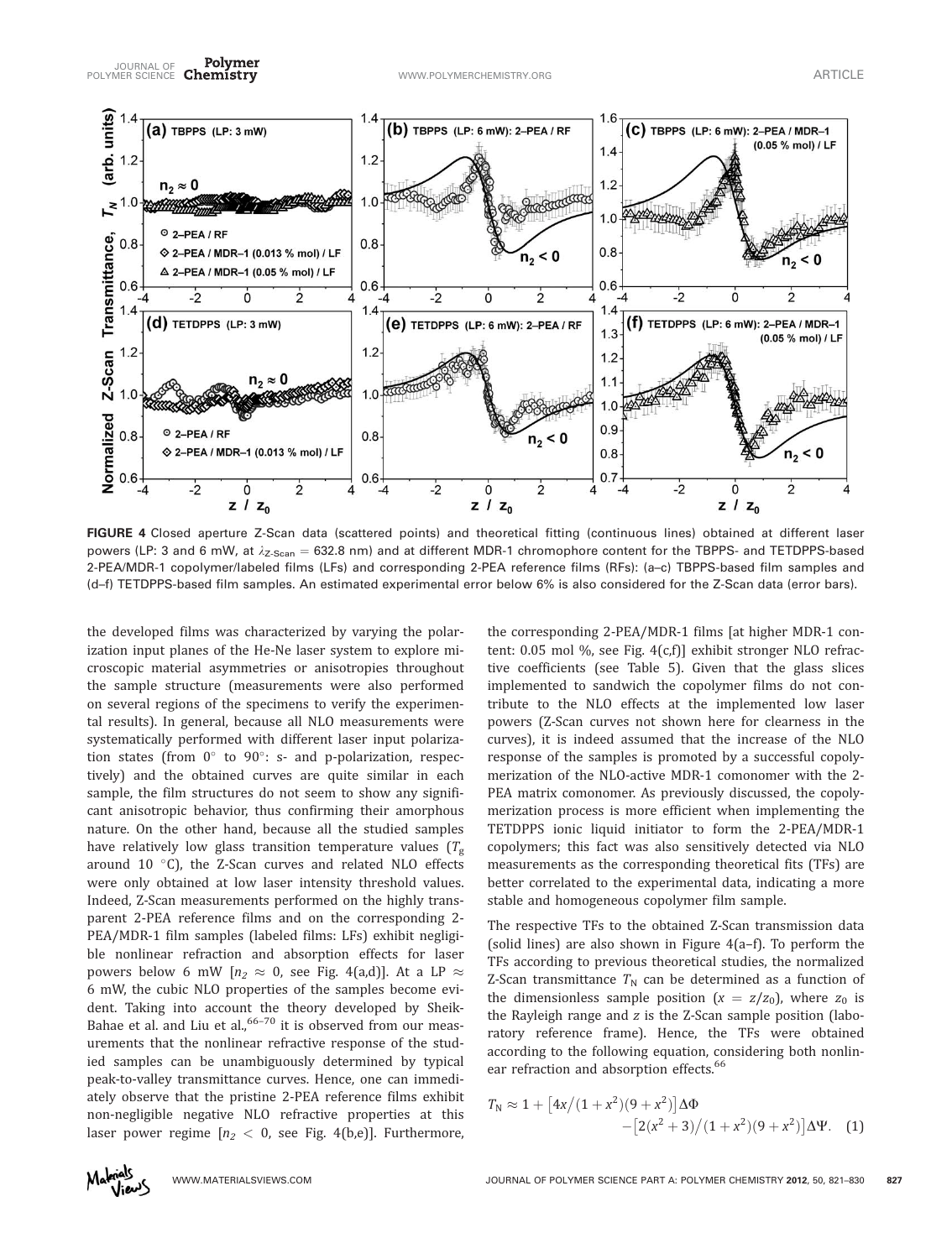

FIGURE 4 Closed aperture Z-Scan data (scattered points) and theoretical fitting (continuous lines) obtained at different laser powers (LP: 3 and 6 mW, at  $\lambda_{Z-Scan} = 632.8$  nm) and at different MDR-1 chromophore content for the TBPPS- and TETDPPS-based 2-PEA/MDR-1 copolymer/labeled films (LFs) and corresponding 2-PEA reference films (RFs): (a–c) TBPPS-based film samples and (d–f) TETDPPS-based film samples. An estimated experimental error below 6% is also considered for the Z-Scan data (error bars).

the developed films was characterized by varying the polarization input planes of the He-Ne laser system to explore microscopic material asymmetries or anisotropies throughout the sample structure (measurements were also performed on several regions of the specimens to verify the experimental results). In general, because all NLO measurements were systematically performed with different laser input polarization states (from  $0^{\circ}$  to  $90^{\circ}$ : s- and p-polarization, respectively) and the obtained curves are quite similar in each sample, the film structures do not seem to show any significant anisotropic behavior, thus confirming their amorphous nature. On the other hand, because all the studied samples have relatively low glass transition temperature values  $(T_{g})$ around  $10$  °C), the Z-Scan curves and related NLO effects were only obtained at low laser intensity threshold values. Indeed, Z-Scan measurements performed on the highly transparent 2-PEA reference films and on the corresponding 2- PEA/MDR-1 film samples (labeled films: LFs) exhibit negligible nonlinear refraction and absorption effects for laser powers below 6 mW  $[n_2 \approx 0]$ , see Fig. 4(a,d)]. At a LP  $\approx$ 6 mW, the cubic NLO properties of the samples become evident. Taking into account the theory developed by Sheik-Bahae et al. and Liu et al.,  $66-70$  it is observed from our measurements that the nonlinear refractive response of the studied samples can be unambiguously determined by typical peak-to-valley transmittance curves. Hence, one can immediately observe that the pristine 2-PEA reference films exhibit non-negligible negative NLO refractive properties at this laser power regime  $[n_2 < 0$ , see Fig. 4(b,e)]. Furthermore,

the corresponding 2-PEA/MDR-1 films [at higher MDR-1 content: 0.05 mol %, see Fig. 4(c,f)] exhibit stronger NLO refractive coefficients (see Table 5). Given that the glass slices implemented to sandwich the copolymer films do not contribute to the NLO effects at the implemented low laser powers (Z-Scan curves not shown here for clearness in the curves), it is indeed assumed that the increase of the NLO response of the samples is promoted by a successful copolymerization of the NLO-active MDR-1 comonomer with the 2- PEA matrix comonomer. As previously discussed, the copolymerization process is more efficient when implementing the TETDPPS ionic liquid initiator to form the 2-PEA/MDR-1 copolymers; this fact was also sensitively detected via NLO measurements as the corresponding theoretical fits (TFs) are better correlated to the experimental data, indicating a more stable and homogeneous copolymer film sample.

The respective TFs to the obtained Z-Scan transmission data (solid lines) are also shown in Figure 4(a–f). To perform the TFs according to previous theoretical studies, the normalized Z-Scan transmittance  $T_N$  can be determined as a function of the dimensionless sample position  $(x = z/z_0)$ , where  $z_0$  is the Rayleigh range and z is the Z-Scan sample position (laboratory reference frame). Hence, the TFs were obtained according to the following equation, considering both nonlinear refraction and absorption effects.<sup>66</sup>

$$
T_N \approx 1 + [4x/(1+x^2)(9+x^2)]\Delta\Phi
$$
  
-[2(x<sup>2</sup> + 3)/(1+x<sup>2</sup>)(9+x<sup>2</sup>)] $\Delta\Psi$ . (1)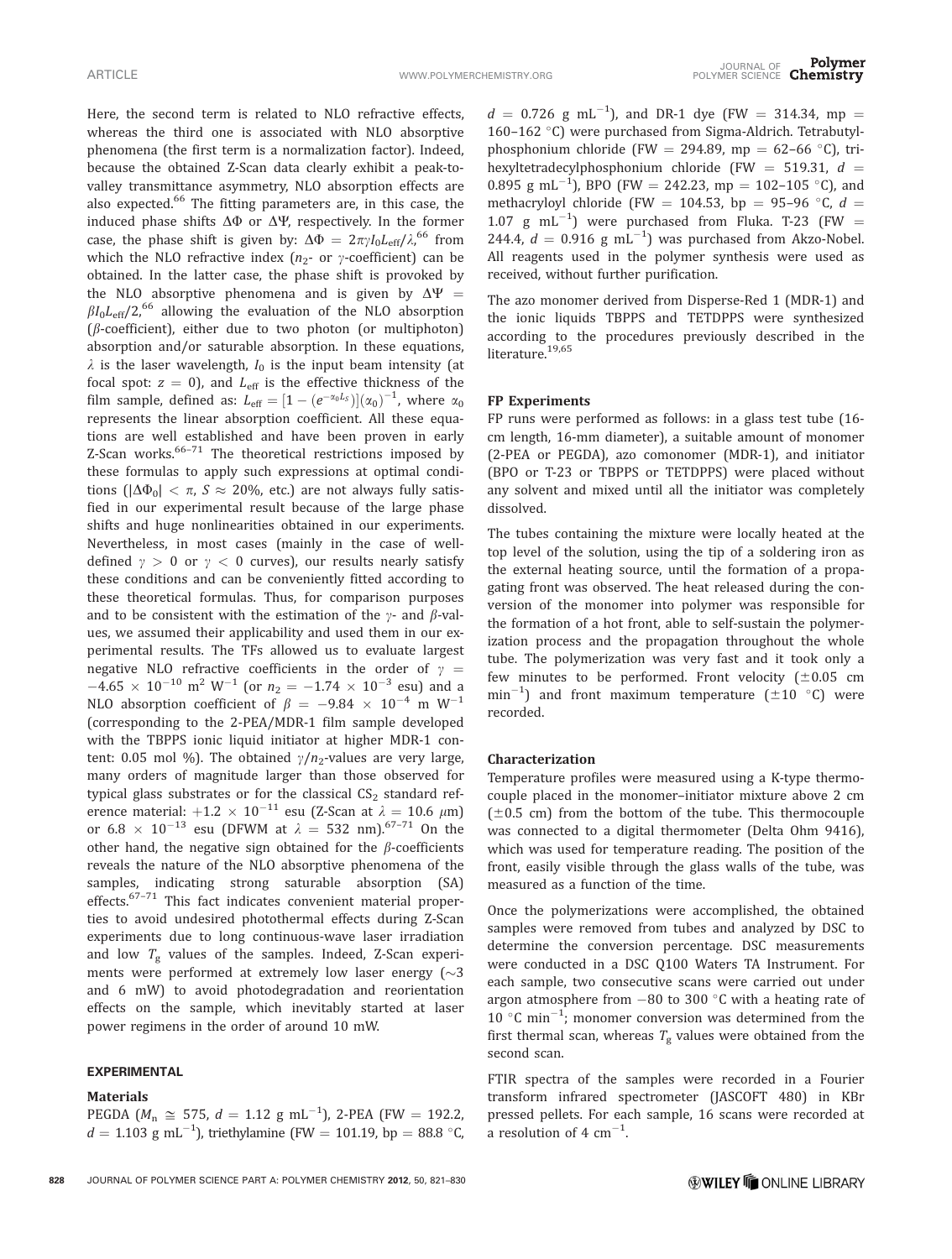Here, the second term is related to NLO refractive effects, whereas the third one is associated with NLO absorptive phenomena (the first term is a normalization factor). Indeed, because the obtained Z-Scan data clearly exhibit a peak-tovalley transmittance asymmetry, NLO absorption effects are also expected.<sup>66</sup> The fitting parameters are, in this case, the induced phase shifts  $\Delta\Phi$  or  $\Delta\Psi$ , respectively. In the former case, the phase shift is given by:  $\Delta \Phi = 2\pi \gamma I_0 L_{\text{eff}} / \lambda$ , <sup>66</sup> from which the NLO refractive index  $(n_2$ - or  $\gamma$ -coefficient) can be obtained. In the latter case, the phase shift is provoked by the NLO absorptive phenomena and is given by  $\Delta \Psi =$  $\beta I_0 L_{\text{eff}}/2$ ,<sup>66</sup> allowing the evaluation of the NLO absorption ( $\beta$ -coefficient), either due to two photon (or multiphoton) absorption and/or saturable absorption. In these equations,  $\lambda$  is the laser wavelength,  $I_0$  is the input beam intensity (at focal spot:  $z = 0$ ), and  $L_{\text{eff}}$  is the effective thickness of the film sample, defined as:  $L_{\text{eff}} = [1 - (e^{-\alpha_0 L_S})](\alpha_0)^{-1}$ , where  $\alpha_0$ represents the linear absorption coefficient. All these equations are well established and have been proven in early Z-Scan works. $66-71$  The theoretical restrictions imposed by these formulas to apply such expressions at optimal conditions ( $|\Delta \Phi_0| < \pi$ ,  $S \approx 20\%$ , etc.) are not always fully satisfied in our experimental result because of the large phase shifts and huge nonlinearities obtained in our experiments. Nevertheless, in most cases (mainly in the case of welldefined  $\gamma > 0$  or  $\gamma < 0$  curves), our results nearly satisfy these conditions and can be conveniently fitted according to these theoretical formulas. Thus, for comparison purposes and to be consistent with the estimation of the  $\gamma$ - and  $\beta$ -values, we assumed their applicability and used them in our experimental results. The TFs allowed us to evaluate largest negative NLO refractive coefficients in the order of  $\gamma$  =  $-4.65 \times 10^{-10}$  m<sup>2</sup> W<sup>-1</sup> (or  $n_2 = -1.74 \times 10^{-3}$  esu) and a NLO absorption coefficient of  $\beta = -9.84 \times 10^{-4}$  m W<sup>-1</sup> (corresponding to the 2-PEA/MDR-1 film sample developed with the TBPPS ionic liquid initiator at higher MDR-1 content: 0.05 mol %). The obtained  $\gamma/n_z$ -values are very large, many orders of magnitude larger than those observed for typical glass substrates or for the classical  $CS<sub>2</sub>$  standard reference material:  $+1.2 \times 10^{-11}$  esu (Z-Scan at  $\lambda = 10.6 \mu m$ ) or 6.8  $\times$  10<sup>-13</sup> esu (DFWM at  $\lambda = 532$  nm).<sup>67-71</sup> On the other hand, the negative sign obtained for the  $\beta$ -coefficients reveals the nature of the NLO absorptive phenomena of the samples, indicating strong saturable absorption (SA) effects.<sup>67-71</sup> This fact indicates convenient material properties to avoid undesired photothermal effects during Z-Scan experiments due to long continuous-wave laser irradiation and low  $T_g$  values of the samples. Indeed, Z-Scan experiments were performed at extremely low laser energy  $(\sim 3)$ and 6 mW) to avoid photodegradation and reorientation effects on the sample, which inevitably started at laser power regimens in the order of around 10 mW.

# EXPERIMENTAL

## Materials

PEGDA ( $M_n \cong 575$ ,  $d = 1.12$  g mL<sup>-1</sup>), 2-PEA (FW = 192.2,  $d = 1.103 \text{ g mL}^{-1}$ ), triethylamine (FW = 101.19, bp = 88.8 °C,

 $d = 0.726$  g mL<sup>-1</sup>), and DR-1 dye (FW = 314.34, mp = 160-162 °C) were purchased from Sigma-Aldrich. Tetrabutylphosphonium chloride (FW = 294.89, mp = 62–66 °C), trihexyltetradecylphosphonium chloride (FW = 519.31,  $d =$ 0.895 g mL<sup>-1</sup>), BPO (FW = 242.23, mp = 102-105 °C), and methacryloyl chloride (FW = 104.53, bp = 95–96 °C,  $d =$ 1.07 g mL<sup>-1</sup>) were purchased from Fluka. T-23 (FW = 244.4,  $d = 0.916$  g mL<sup>-1</sup>) was purchased from Akzo-Nobel. All reagents used in the polymer synthesis were used as received, without further purification.

The azo monomer derived from Disperse-Red 1 (MDR-1) and the ionic liquids TBPPS and TETDPPS were synthesized according to the procedures previously described in the literature.<sup>19,65</sup>

## FP Experiments

FP runs were performed as follows: in a glass test tube (16 cm length, 16-mm diameter), a suitable amount of monomer (2-PEA or PEGDA), azo comonomer (MDR-1), and initiator (BPO or T-23 or TBPPS or TETDPPS) were placed without any solvent and mixed until all the initiator was completely dissolved.

The tubes containing the mixture were locally heated at the top level of the solution, using the tip of a soldering iron as the external heating source, until the formation of a propagating front was observed. The heat released during the conversion of the monomer into polymer was responsible for the formation of a hot front, able to self-sustain the polymerization process and the propagation throughout the whole tube. The polymerization was very fast and it took only a few minutes to be performed. Front velocity  $(\pm 0.05$  cm  $\text{min}^{-1}$ ) and front maximum temperature ( $\pm 10$  °C) were recorded.

## Characterization

Temperature profiles were measured using a K-type thermocouple placed in the monomer–initiator mixture above 2 cm  $(\pm 0.5 \text{ cm})$  from the bottom of the tube. This thermocouple was connected to a digital thermometer (Delta Ohm 9416), which was used for temperature reading. The position of the front, easily visible through the glass walls of the tube, was measured as a function of the time.

Once the polymerizations were accomplished, the obtained samples were removed from tubes and analyzed by DSC to determine the conversion percentage. DSC measurements were conducted in a DSC Q100 Waters TA Instrument. For each sample, two consecutive scans were carried out under argon atmosphere from  $-80$  to 300 °C with a heating rate of 10  $^{\circ}$ C min<sup>-1</sup>; monomer conversion was determined from the first thermal scan, whereas  $T_{\rm g}$  values were obtained from the second scan.

FTIR spectra of the samples were recorded in a Fourier transform infrared spectrometer (JASCOFT 480) in KBr pressed pellets. For each sample, 16 scans were recorded at a resolution of 4  $cm^{-1}$ . .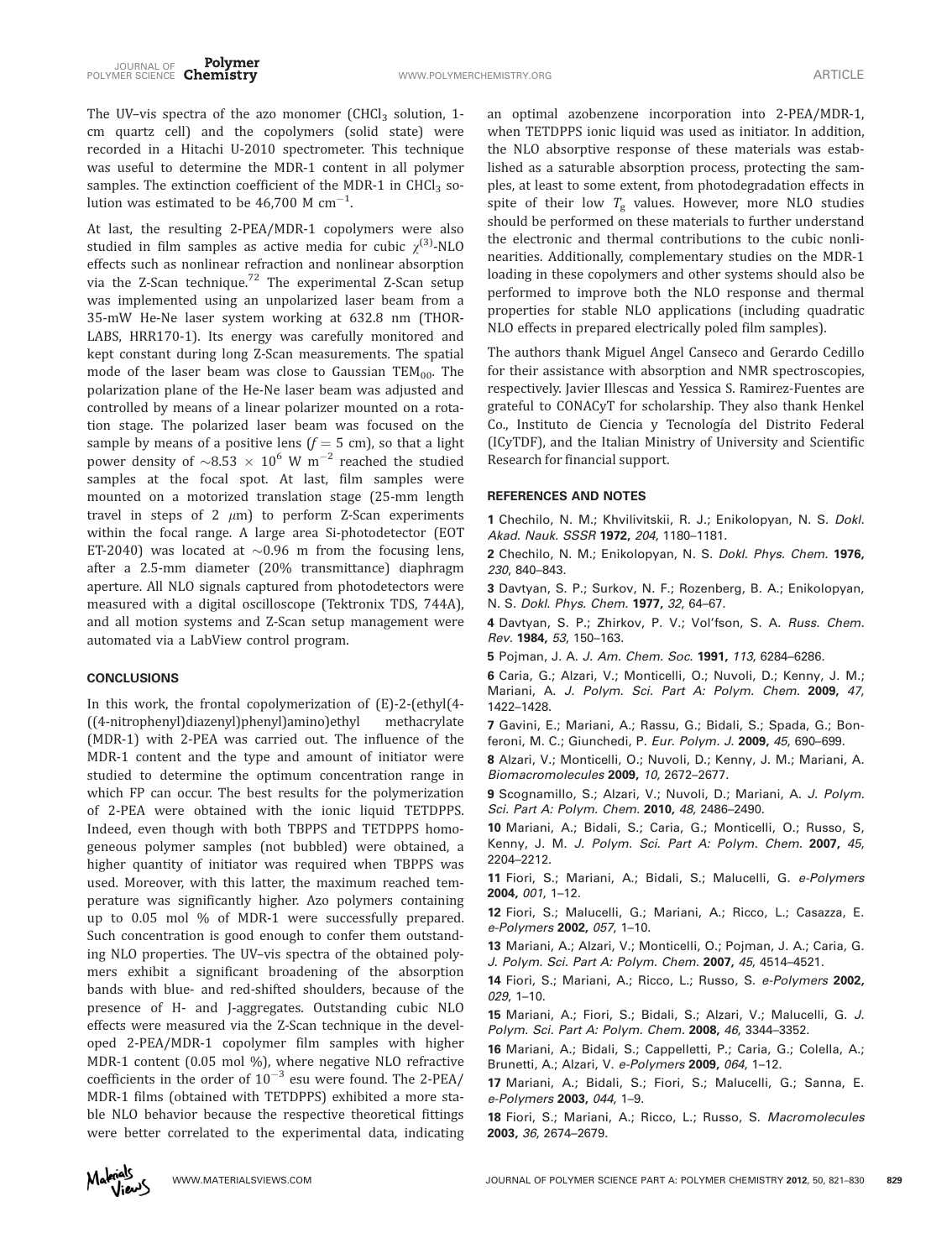The UV-vis spectra of the azo monomer (CHCl<sub>3</sub> solution, 1cm quartz cell) and the copolymers (solid state) were recorded in a Hitachi U-2010 spectrometer. This technique was useful to determine the MDR-1 content in all polymer samples. The extinction coefficient of the MDR-1 in CHCl<sub>3</sub> solution was estimated to be 46,700 M  $cm^{-1}$ . .

At last, the resulting 2-PEA/MDR-1 copolymers were also studied in film samples as active media for cubic  $\gamma^{(3)}$ -NLO effects such as nonlinear refraction and nonlinear absorption via the Z-Scan technique.<sup>72</sup> The experimental Z-Scan setup was implemented using an unpolarized laser beam from a 35-mW He-Ne laser system working at 632.8 nm (THOR-LABS, HRR170-1). Its energy was carefully monitored and kept constant during long Z-Scan measurements. The spatial mode of the laser beam was close to Gaussian  $TEM_{00}$ . The polarization plane of the He-Ne laser beam was adjusted and controlled by means of a linear polarizer mounted on a rotation stage. The polarized laser beam was focused on the sample by means of a positive lens  $(f = 5 \text{ cm})$ , so that a light power density of  $\sim 8.53 \times 10^6$  W m<sup>-2</sup> reached the studied samples at the focal spot. At last, film samples were mounted on a motorized translation stage (25-mm length travel in steps of 2  $\mu$ m) to perform Z-Scan experiments within the focal range. A large area Si-photodetector (EOT ET-2040) was located at  $\sim 0.96$  m from the focusing lens, after a 2.5-mm diameter (20% transmittance) diaphragm aperture. All NLO signals captured from photodetectors were measured with a digital oscilloscope (Tektronix TDS, 744A), and all motion systems and Z-Scan setup management were automated via a LabView control program.

## CONCLUSIONS

In this work, the frontal copolymerization of (E)-2-(ethyl(4- ((4-nitrophenyl)diazenyl)phenyl)amino)ethyl methacrylate (MDR-1) with 2-PEA was carried out. The influence of the MDR-1 content and the type and amount of initiator were studied to determine the optimum concentration range in which FP can occur. The best results for the polymerization of 2-PEA were obtained with the ionic liquid TETDPPS. Indeed, even though with both TBPPS and TETDPPS homogeneous polymer samples (not bubbled) were obtained, a higher quantity of initiator was required when TBPPS was used. Moreover, with this latter, the maximum reached temperature was significantly higher. Azo polymers containing up to 0.05 mol % of MDR-1 were successfully prepared. Such concentration is good enough to confer them outstanding NLO properties. The UV–vis spectra of the obtained polymers exhibit a significant broadening of the absorption bands with blue- and red-shifted shoulders, because of the presence of H- and J-aggregates. Outstanding cubic NLO effects were measured via the Z-Scan technique in the developed 2-PEA/MDR-1 copolymer film samples with higher MDR-1 content (0.05 mol %), where negative NLO refractive coefficients in the order of  $10^{-3}$  esu were found. The 2-PEA/ MDR-1 films (obtained with TETDPPS) exhibited a more stable NLO behavior because the respective theoretical fittings were better correlated to the experimental data, indicating

an optimal azobenzene incorporation into 2-PEA/MDR-1, when TETDPPS ionic liquid was used as initiator. In addition, the NLO absorptive response of these materials was established as a saturable absorption process, protecting the samples, at least to some extent, from photodegradation effects in spite of their low  $T_{\rm g}$  values. However, more NLO studies should be performed on these materials to further understand the electronic and thermal contributions to the cubic nonlinearities. Additionally, complementary studies on the MDR-1 loading in these copolymers and other systems should also be performed to improve both the NLO response and thermal properties for stable NLO applications (including quadratic NLO effects in prepared electrically poled film samples).

The authors thank Miguel Angel Canseco and Gerardo Cedillo for their assistance with absorption and NMR spectroscopies, respectively. Javier Illescas and Yessica S. Ramirez-Fuentes are grateful to CONACyT for scholarship. They also thank Henkel Co., Instituto de Ciencia y Tecnología del Distrito Federal (ICyTDF), and the Italian Ministry of University and Scientific Research for financial support.

## REFERENCES AND NOTES

1 Chechilo, N. M.; Khvilivitskii, R. J.; Enikolopyan, N. S. Dokl. Akad. Nauk. SSSR 1972, 204, 1180–1181.

2 Chechilo, N. M.; Enikolopyan, N. S. Dokl. Phys. Chem. 1976, 230, 840–843.

3 Davtyan, S. P.; Surkov, N. F.; Rozenberg, B. A.; Enikolopyan, N. S. Dokl. Phys. Chem. 1977, 32, 64–67.

4 Davtyan, S. P.; Zhirkov, P. V.; Vol'fson, S. A. Russ. Chem. Rev. 1984, 53, 150–163.

5 Pojman, J. A. J. Am. Chem. Soc. 1991, 113, 6284–6286.

6 Caria, G.; Alzari, V.; Monticelli, O.; Nuvoli, D.; Kenny, J. M.; Mariani, A. J. Polym. Sci. Part A: Polym. Chem. 2009, 47, 1422–1428.

7 Gavini, E.; Mariani, A.; Rassu, G.; Bidali, S.; Spada, G.; Bonferoni, M. C.; Giunchedi, P. Eur. Polym. J. 2009, 45, 690–699.

8 Alzari, V.; Monticelli, O.; Nuvoli, D.; Kenny, J. M.; Mariani, A. Biomacromolecules 2009, 10, 2672–2677.

9 Scognamillo, S.; Alzari, V.; Nuvoli, D.; Mariani, A. J. Polym. Sci. Part A: Polym. Chem. 2010, 48, 2486-2490.

10 Mariani, A.; Bidali, S.; Caria, G.; Monticelli, O.; Russo, S, Kenny, J. M. J. Polym. Sci. Part A: Polym. Chem. 2007, 45, 2204–2212.

11 Fiori, S.; Mariani, A.; Bidali, S.; Malucelli, G. e-Polymers 2004, 001, 1–12.

12 Fiori, S.; Malucelli, G.; Mariani, A.; Ricco, L.; Casazza, E. e-Polymers 2002, 057, 1–10.

13 Mariani, A.; Alzari, V.; Monticelli, O.; Pojman, J. A.; Caria, G. J. Polym. Sci. Part A: Polym. Chem. 2007, 45, 4514–4521.

14 Fiori, S.; Mariani, A.; Ricco, L.; Russo, S. e-Polymers 2002, 029, 1–10.

15 Mariani, A.; Fiori, S.; Bidali, S.; Alzari, V.; Malucelli, G. J. Polym. Sci. Part A: Polym. Chem. 2008, 46, 3344–3352.

16 Mariani, A.; Bidali, S.; Cappelletti, P.; Caria, G.; Colella, A.; Brunetti, A.; Alzari, V. e-Polymers 2009, 064, 1–12.

17 Mariani, A.; Bidali, S.; Fiori, S.; Malucelli, G.; Sanna, E. e-Polymers 2003, 044, 1–9.

18 Fiori, S.; Mariani, A.; Ricco, L.; Russo, S. Macromolecules 2003, 36, 2674–2679.